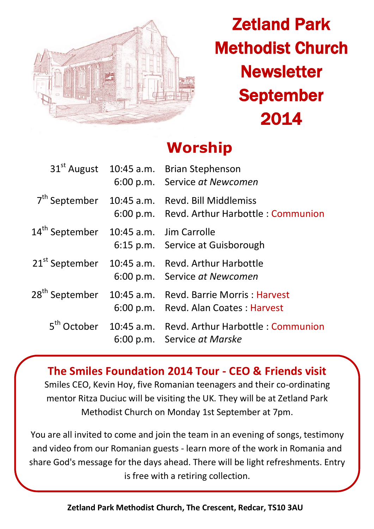

# Zetland Park Methodist Church **Newsletter** September 2014

## **Worship**

|                                                    | 31 <sup>st</sup> August 10:45 a.m. Brian Stephenson<br>6:00 p.m. Service at Newcomen                        |
|----------------------------------------------------|-------------------------------------------------------------------------------------------------------------|
|                                                    | $7th$ September 10:45 a.m. Revd. Bill Middlemiss<br>6:00 p.m. Revd. Arthur Harbottle: Communion             |
| 14 <sup>th</sup> September 10:45 a.m. Jim Carrolle | 6:15 p.m. Service at Guisborough                                                                            |
|                                                    | 21 <sup>st</sup> September 10:45 a.m. Revd. Arthur Harbottle<br>6:00 p.m. Service at Newcomen               |
|                                                    | 28 <sup>th</sup> September 10:45 a.m. Revd. Barrie Morris : Harvest<br>6:00 p.m. Revd. Alan Coates: Harvest |
|                                                    | 5 <sup>th</sup> October 10:45 a.m. Revd. Arthur Harbottle : Communion<br>6:00 p.m. Service at Marske        |

**The Smiles Foundation 2014 Tour - CEO & Friends visit** Smiles CEO, Kevin Hoy, five Romanian teenagers and their co-ordinating mentor Ritza Duciuc will be visiting the UK. They will be at Zetland Park Methodist Church on Monday 1st September at 7pm.

You are all invited to come and join the team in an evening of songs, testimony and video from our Romanian guests - learn more of the work in Romania and share God's message for the days ahead. There will be light refreshments. Entry is free with a retiring collection.